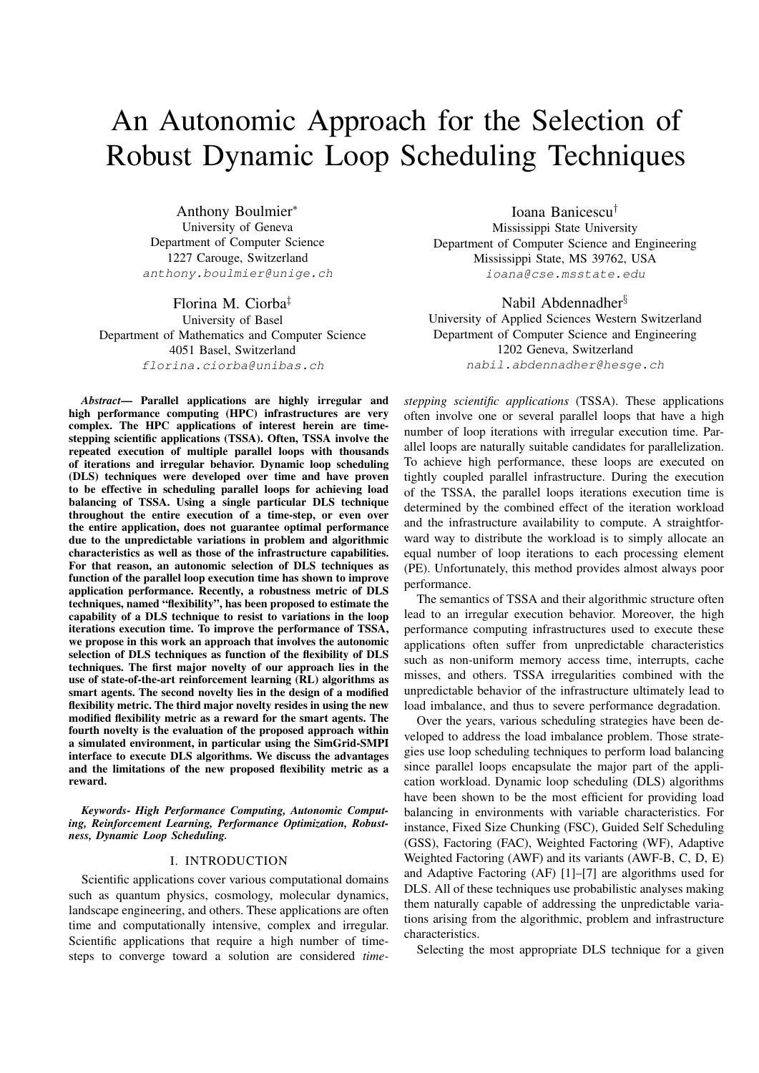# An Autonomic Approach for the Selection of Robust Dynamic Loop Scheduling Techniques

Anthony Boulmier<sup>∗</sup> University of Geneva Department of Computer Science 1227 Carouge, Switzerland anthony.boulmier@unige.ch

Florina M. Ciorba‡ University of Basel Department of Mathematics and Computer Science 4051 Basel, Switzerland florina.ciorba@unibas.ch

*Abstract*— Parallel applications are highly irregular and high performance computing (HPC) infrastructures are very complex. The HPC applications of interest herein are timestepping scientific applications (TSSA). Often, TSSA involve the repeated execution of multiple parallel loops with thousands of iterations and irregular behavior. Dynamic loop scheduling (DLS) techniques were developed over time and have proven to be effective in scheduling parallel loops for achieving load balancing of TSSA. Using a single particular DLS technique throughout the entire execution of a time-step, or even over the entire application, does not guarantee optimal performance due to the unpredictable variations in problem and algorithmic characteristics as well as those of the infrastructure capabilities. For that reason, an autonomic selection of DLS techniques as function of the parallel loop execution time has shown to improve application performance. Recently, a robustness metric of DLS techniques, named "flexibility", has been proposed to estimate the capability of a DLS technique to resist to variations in the loop iterations execution time. To improve the performance of TSSA, we propose in this work an approach that involves the autonomic selection of DLS techniques as function of the flexibility of DLS techniques. The first major novelty of our approach lies in the use of state-of-the-art reinforcement learning (RL) algorithms as smart agents. The second novelty lies in the design of a modified flexibility metric. The third major novelty resides in using the new modified flexibility metric as a reward for the smart agents. The fourth novelty is the evaluation of the proposed approach within a simulated environment, in particular using the SimGrid-SMPI interface to execute DLS algorithms. We discuss the advantages and the limitations of the new proposed flexibility metric as a reward.

*Keywords*- *High Performance Computing, Autonomic Computing, Reinforcement Learning, Performance Optimization, Robustness, Dynamic Loop Scheduling.*

## I. INTRODUCTION

Scientific applications cover various computational domains such as quantum physics, cosmology, molecular dynamics, landscape engineering, and others. These applications are often time and computationally intensive, complex and irregular. Scientific applications that require a high number of timesteps to converge toward a solution are considered *time-*

Ioana Banicescu† Mississippi State University Department of Computer Science and Engineering Mississippi State, MS 39762, USA ioana@cse.msstate.edu

Nabil Abdennadher§ University of Applied Sciences Western Switzerland Department of Computer Science and Engineering 1202 Geneva, Switzerland nabil.abdennadher@hesge.ch

*stepping scientific applications* (TSSA). These applications often involve one or several parallel loops that have a high number of loop iterations with irregular execution time. Parallel loops are naturally suitable candidates for parallelization. To achieve high performance, these loops are executed on tightly coupled parallel infrastructure. During the execution of the TSSA, the parallel loops iterations execution time is determined by the combined effect of the iteration workload and the infrastructure availability to compute. A straightforward way to distribute the workload is to simply allocate an equal number of loop iterations to each processing element (PE). Unfortunately, this method provides almost always poor performance.

The semantics of TSSA and their algorithmic structure often lead to an irregular execution behavior. Moreover, the high performance computing infrastructures used to execute these applications often suffer from unpredictable characteristics such as non-uniform memory access time, interrupts, cache misses, and others. TSSA irregularities combined with the unpredictable behavior of the infrastructure ultimately lead to load imbalance, and thus to severe performance degradation.

Over the years, various scheduling strategies have been developed to address the load imbalance problem. Those strategies use loop scheduling techniques to perform load balancing since parallel loops encapsulate the major part of the application workload. Dynamic loop scheduling (DLS) algorithms have been shown to be the most efficient for providing load balancing in environments with variable characteristics. For instance, Fixed Size Chunking (FSC), Guided Self Scheduling (GSS), Factoring (FAC), Weighted Factoring (WF), Adaptive Weighted Factoring (AWF) and its variants (AWF-B, C, D, E) and Adaptive Factoring (AF) [1]–[7] are algorithms used for DLS. All of these techniques use probabilistic analyses making them naturally capable of addressing the unpredictable variations arising from the algorithmic, problem and infrastructure characteristics.

Selecting the most appropriate DLS technique for a given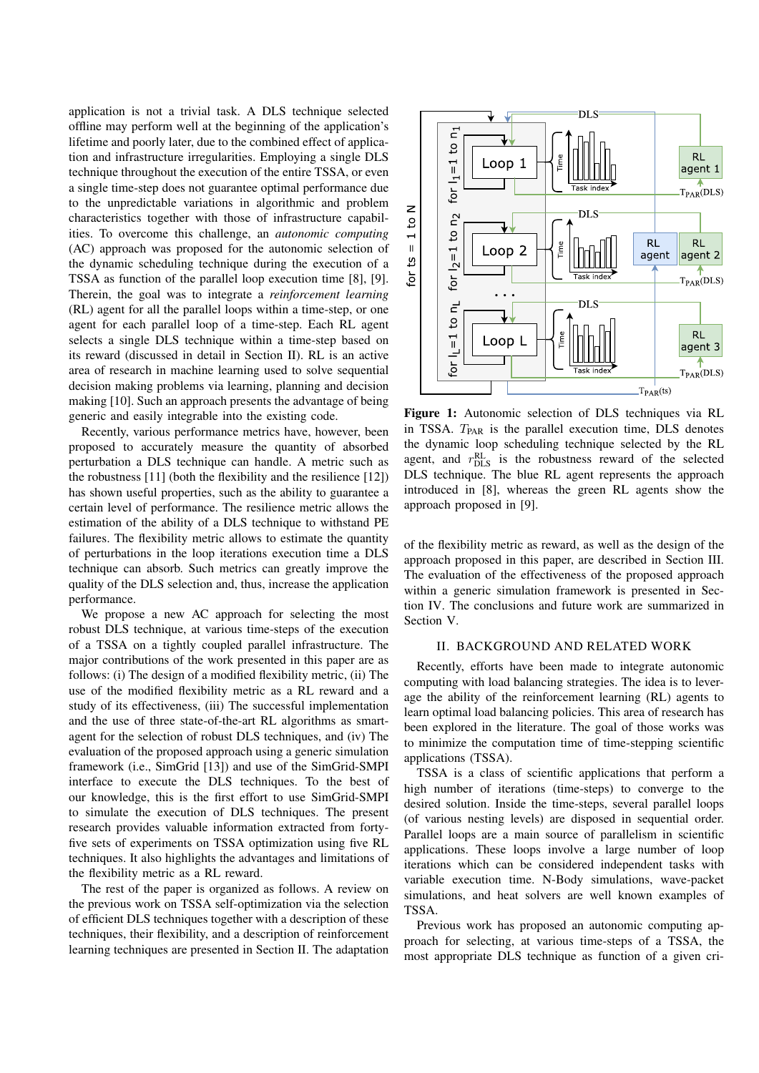application is not a trivial task. A DLS technique selected offline may perform well at the beginning of the application's lifetime and poorly later, due to the combined effect of application and infrastructure irregularities. Employing a single DLS technique throughout the execution of the entire TSSA, or even a single time-step does not guarantee optimal performance due to the unpredictable variations in algorithmic and problem characteristics together with those of infrastructure capabilities. To overcome this challenge, an *autonomic computing* (AC) approach was proposed for the autonomic selection of the dynamic scheduling technique during the execution of a TSSA as function of the parallel loop execution time [8], [9]. Therein, the goal was to integrate a *reinforcement learning* (RL) agent for all the parallel loops within a time-step, or one agent for each parallel loop of a time-step. Each RL agent selects a single DLS technique within a time-step based on its reward (discussed in detail in Section II). RL is an active area of research in machine learning used to solve sequential decision making problems via learning, planning and decision making [10]. Such an approach presents the advantage of being generic and easily integrable into the existing code.

Recently, various performance metrics have, however, been proposed to accurately measure the quantity of absorbed perturbation a DLS technique can handle. A metric such as the robustness [11] (both the flexibility and the resilience [12]) has shown useful properties, such as the ability to guarantee a certain level of performance. The resilience metric allows the estimation of the ability of a DLS technique to withstand PE failures. The flexibility metric allows to estimate the quantity of perturbations in the loop iterations execution time a DLS technique can absorb. Such metrics can greatly improve the quality of the DLS selection and, thus, increase the application performance.

We propose a new AC approach for selecting the most robust DLS technique, at various time-steps of the execution of a TSSA on a tightly coupled parallel infrastructure. The major contributions of the work presented in this paper are as follows: (i) The design of a modified flexibility metric, (ii) The use of the modified flexibility metric as a RL reward and a study of its effectiveness, (iii) The successful implementation and the use of three state-of-the-art RL algorithms as smartagent for the selection of robust DLS techniques, and (iv) The evaluation of the proposed approach using a generic simulation framework (i.e., SimGrid [13]) and use of the SimGrid-SMPI interface to execute the DLS techniques. To the best of our knowledge, this is the first effort to use SimGrid-SMPI to simulate the execution of DLS techniques. The present research provides valuable information extracted from fortyfive sets of experiments on TSSA optimization using five RL techniques. It also highlights the advantages and limitations of the flexibility metric as a RL reward.

The rest of the paper is organized as follows. A review on the previous work on TSSA self-optimization via the selection of efficient DLS techniques together with a description of these techniques, their flexibility, and a description of reinforcement learning techniques are presented in Section II. The adaptation



Figure 1: Autonomic selection of DLS techniques via RL in TSSA.  $T_{PAR}$  is the parallel execution time, DLS denotes the dynamic loop scheduling technique selected by the RL agent, and  $r_{\text{DLS}}^{\text{RL}}$  is the robustness reward of the selected DLS technique. The blue RL agent represents the approach introduced in [8], whereas the green RL agents show the approach proposed in [9].

of the flexibility metric as reward, as well as the design of the approach proposed in this paper, are described in Section III. The evaluation of the effectiveness of the proposed approach within a generic simulation framework is presented in Section IV. The conclusions and future work are summarized in Section V.

#### II. BACKGROUND AND RELATED WORK

Recently, efforts have been made to integrate autonomic computing with load balancing strategies. The idea is to leverage the ability of the reinforcement learning (RL) agents to learn optimal load balancing policies. This area of research has been explored in the literature. The goal of those works was to minimize the computation time of time-stepping scientific applications (TSSA).

TSSA is a class of scientific applications that perform a high number of iterations (time-steps) to converge to the desired solution. Inside the time-steps, several parallel loops (of various nesting levels) are disposed in sequential order. Parallel loops are a main source of parallelism in scientific applications. These loops involve a large number of loop iterations which can be considered independent tasks with variable execution time. N-Body simulations, wave-packet simulations, and heat solvers are well known examples of TSSA.

Previous work has proposed an autonomic computing approach for selecting, at various time-steps of a TSSA, the most appropriate DLS technique as function of a given cri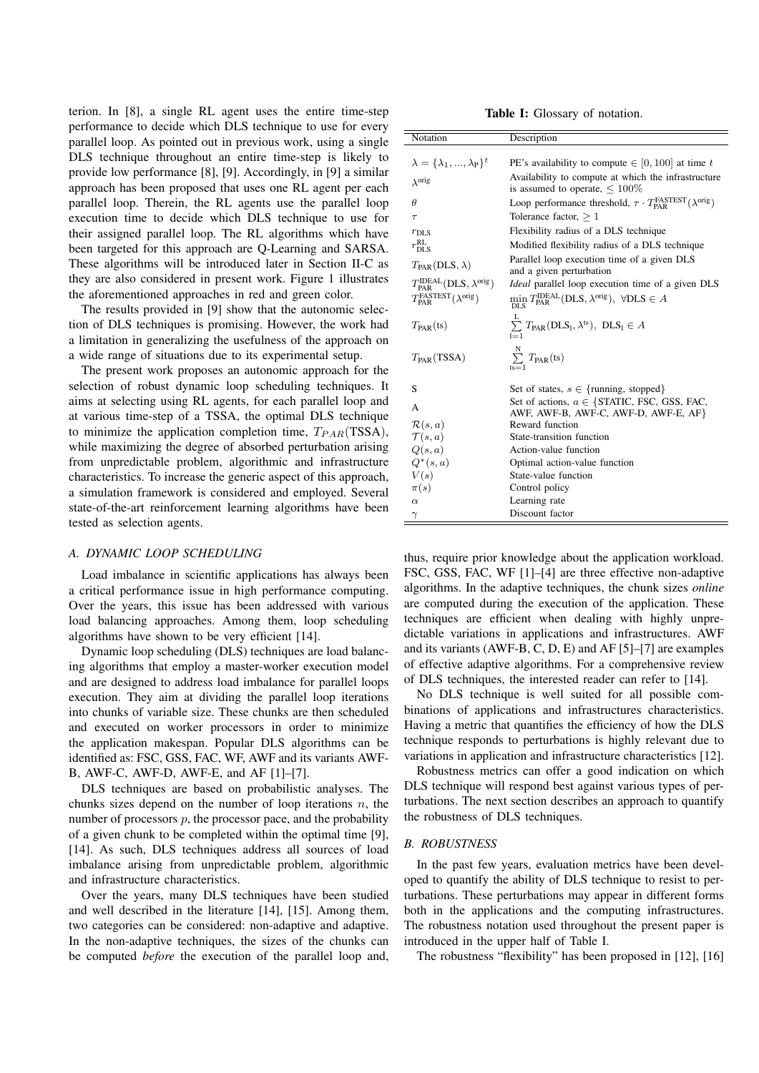terion. In [8], a single RL agent uses the entire time-step performance to decide which DLS technique to use for every parallel loop. As pointed out in previous work, using a single DLS technique throughout an entire time-step is likely to provide low performance [8], [9]. Accordingly, in [9] a similar approach has been proposed that uses one RL agent per each parallel loop. Therein, the RL agents use the parallel loop execution time to decide which DLS technique to use for their assigned parallel loop. The RL algorithms which have been targeted for this approach are Q-Learning and SARSA. These algorithms will be introduced later in Section II-C as they are also considered in present work. Figure 1 illustrates the aforementioned approaches in red and green color.

The results provided in [9] show that the autonomic selection of DLS techniques is promising. However, the work had a limitation in generalizing the usefulness of the approach on a wide range of situations due to its experimental setup.

The present work proposes an autonomic approach for the selection of robust dynamic loop scheduling techniques. It aims at selecting using RL agents, for each parallel loop and at various time-step of a TSSA, the optimal DLS technique to minimize the application completion time,  $T_{PAR}(TSSA)$ , while maximizing the degree of absorbed perturbation arising from unpredictable problem, algorithmic and infrastructure characteristics. To increase the generic aspect of this approach, a simulation framework is considered and employed. Several state-of-the-art reinforcement learning algorithms have been tested as selection agents.

#### *A. DYNAMIC LOOP SCHEDULING*

Load imbalance in scientific applications has always been a critical performance issue in high performance computing. Over the years, this issue has been addressed with various load balancing approaches. Among them, loop scheduling algorithms have shown to be very efficient [14].

Dynamic loop scheduling (DLS) techniques are load balancing algorithms that employ a master-worker execution model and are designed to address load imbalance for parallel loops execution. They aim at dividing the parallel loop iterations into chunks of variable size. These chunks are then scheduled and executed on worker processors in order to minimize the application makespan. Popular DLS algorithms can be identified as: FSC, GSS, FAC, WF, AWF and its variants AWF-B, AWF-C, AWF-D, AWF-E, and AF [1]–[7].

DLS techniques are based on probabilistic analyses. The chunks sizes depend on the number of loop iterations  $n$ , the number of processors  $p$ , the processor pace, and the probability of a given chunk to be completed within the optimal time [9], [14]. As such, DLS techniques address all sources of load imbalance arising from unpredictable problem, algorithmic and infrastructure characteristics.

Over the years, many DLS techniques have been studied and well described in the literature [14], [15]. Among them, two categories can be considered: non-adaptive and adaptive. In the non-adaptive techniques, the sizes of the chunks can be computed *before* the execution of the parallel loop and,

Table I: Glossary of notation.

| Notation                                                           | Description                                                                                                      |
|--------------------------------------------------------------------|------------------------------------------------------------------------------------------------------------------|
|                                                                    |                                                                                                                  |
| $\lambda = {\lambda_1, , \lambda_P}^t$                             | PE's availability to compute $\in [0, 100]$ at time t                                                            |
| $\lambda$ orig                                                     | Availability to compute at which the infrastructure<br>is assumed to operate, $\leq 100\%$                       |
| $\theta$                                                           | Loop performance threshold, $\tau\cdot T_{\mathrm{PAR}}^{\mathrm{FASTEST}}(\lambda^{\mathrm{orig}})$             |
| $\tau$                                                             | Tolerance factor, $\geq 1$                                                                                       |
| $r_{\text{DLS}}$                                                   | Flexibility radius of a DLS technique                                                                            |
| $r_{\text{DLS}}^{\text{RL}}$                                       | Modified flexibility radius of a DLS technique                                                                   |
| $T_{\text{PAR}}(DLS, \lambda)$                                     | Parallel loop execution time of a given DLS<br>and a given perturbation                                          |
| $T_{\text{PAR}}^{\text{IDEAL}}(\text{DLS}, \lambda^{\text{orig}})$ | <i>Ideal</i> parallel loop execution time of a given DLS                                                         |
| $T_{\text{PAR}}^{\text{FASTEST}}(\lambda^{\text{orig}})$           | $\min_{\text{DLS}} T_{\text{PAR}}^{\text{IDEAL}}(\text{DLS}, \lambda^{\text{orig}}), \ \forall \text{DLS} \in A$ |
| $T_{\rm PAR}$ (ts)                                                 | $\sum_{i=1}^{L} T_{PAR}(DLS_l, \lambda^{ts}), \text{ } DLS_l \in A$                                              |
| $T_{\rm PAR}({\rm TSSA})$                                          | $\sum_{i=1}^{N} T_{\text{PAR}}(t_s)$                                                                             |
| S                                                                  | Set of states, $s \in \{running, stopped\}$                                                                      |
| A                                                                  | Set of actions, $a \in \{STATIC, FSC, GSS, FAC,$<br>AWF, AWF-B, AWF-C, AWF-D, AWF-E, AF}                         |
| $\mathcal{R}(s,a)$                                                 | Reward function                                                                                                  |
| $\mathcal{T}(s,a)$                                                 | State-transition function                                                                                        |
| Q(s,a)                                                             | Action-value function                                                                                            |
| $Q^*(s,a)$                                                         | Optimal action-value function                                                                                    |
| V(s)                                                               | State-value function                                                                                             |
| $\pi(s)$                                                           | Control policy                                                                                                   |
| $\alpha$                                                           | Learning rate                                                                                                    |
| $\gamma$                                                           | Discount factor                                                                                                  |

thus, require prior knowledge about the application workload. FSC, GSS, FAC, WF [1]–[4] are three effective non-adaptive algorithms. In the adaptive techniques, the chunk sizes *online* are computed during the execution of the application. These techniques are efficient when dealing with highly unpredictable variations in applications and infrastructures. AWF and its variants (AWF-B, C, D, E) and AF [5]–[7] are examples of effective adaptive algorithms. For a comprehensive review of DLS techniques, the interested reader can refer to [14].

No DLS technique is well suited for all possible combinations of applications and infrastructures characteristics. Having a metric that quantifies the efficiency of how the DLS technique responds to perturbations is highly relevant due to variations in application and infrastructure characteristics [12].

Robustness metrics can offer a good indication on which DLS technique will respond best against various types of perturbations. The next section describes an approach to quantify the robustness of DLS techniques.

#### *B. ROBUSTNESS*

In the past few years, evaluation metrics have been developed to quantify the ability of DLS technique to resist to perturbations. These perturbations may appear in different forms both in the applications and the computing infrastructures. The robustness notation used throughout the present paper is introduced in the upper half of Table I.

The robustness "flexibility" has been proposed in [12], [16]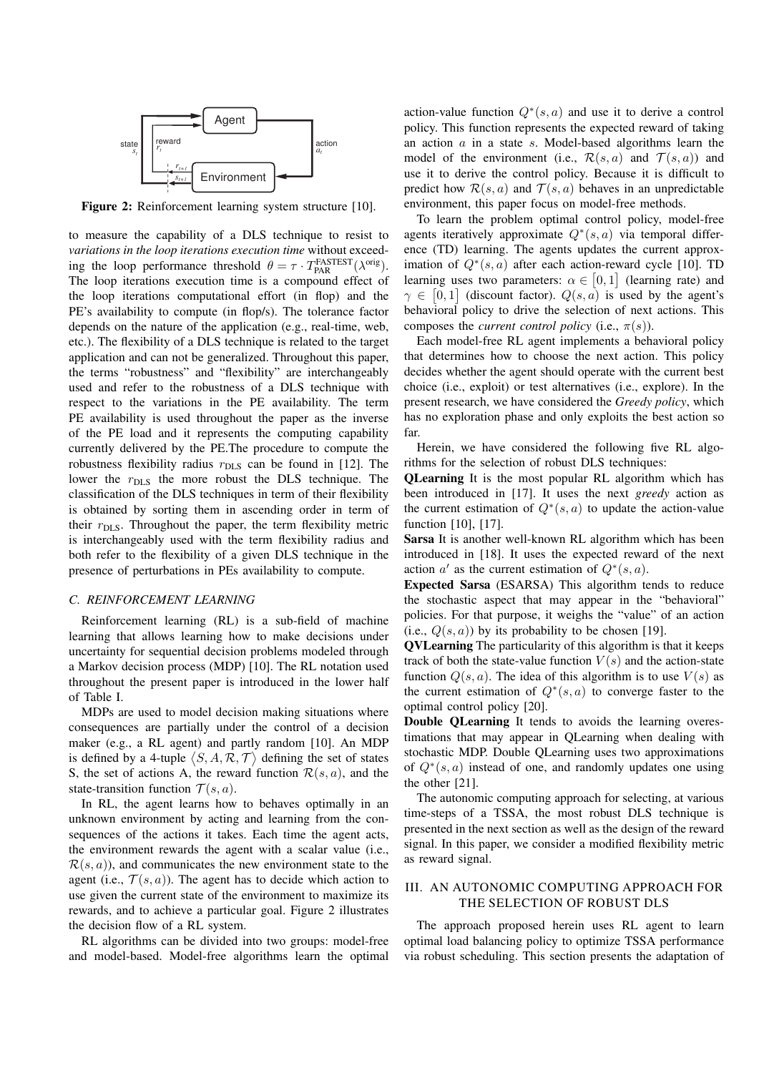

Figure 2: Reinforcement learning system structure [10].

to measure the capability of a DLS technique to resist to *variations in the loop iterations execution time* without exceeding the loop performance threshold  $\theta = \tau \cdot T_{\text{PAR}}^{\text{FASTEST}}(\lambda^{\text{orig}})$ . The loop iterations execution time is a compound effect of the loop iterations computational effort (in flop) and the PE's availability to compute (in flop/s). The tolerance factor depends on the nature of the application (e.g., real-time, web, etc.). The flexibility of a DLS technique is related to the target application and can not be generalized. Throughout this paper, the terms "robustness" and "flexibility" are interchangeably used and refer to the robustness of a DLS technique with respect to the variations in the PE availability. The term PE availability is used throughout the paper as the inverse of the PE load and it represents the computing capability currently delivered by the PE.The procedure to compute the robustness flexibility radius  $r_{\text{DLS}}$  can be found in [12]. The lower the  $r_{\text{DLS}}$  the more robust the DLS technique. The classification of the DLS techniques in term of their flexibility is obtained by sorting them in ascending order in term of their  $r_{\text{DLS}}$ . Throughout the paper, the term flexibility metric is interchangeably used with the term flexibility radius and both refer to the flexibility of a given DLS technique in the presence of perturbations in PEs availability to compute.

#### *C. REINFORCEMENT LEARNING*

Reinforcement learning (RL) is a sub-field of machine learning that allows learning how to make decisions under uncertainty for sequential decision problems modeled through a Markov decision process (MDP) [10]. The RL notation used throughout the present paper is introduced in the lower half of Table I.

MDPs are used to model decision making situations where consequences are partially under the control of a decision maker (e.g., a RL agent) and partly random [10]. An MDP is defined by a 4-tuple  $\langle S, A, \mathcal{R}, \mathcal{T} \rangle$  defining the set of states S, the set of actions A, the reward function  $\mathcal{R}(s, a)$ , and the state-transition function  $\mathcal{T}(s, a)$ .

In RL, the agent learns how to behaves optimally in an unknown environment by acting and learning from the consequences of the actions it takes. Each time the agent acts, the environment rewards the agent with a scalar value (i.e.,  $\mathcal{R}(s, a)$ , and communicates the new environment state to the agent (i.e.,  $\mathcal{T}(s, a)$ ). The agent has to decide which action to use given the current state of the environment to maximize its rewards, and to achieve a particular goal. Figure 2 illustrates the decision flow of a RL system.

RL algorithms can be divided into two groups: model-free and model-based. Model-free algorithms learn the optimal

action-value function  $Q^*(s, a)$  and use it to derive a control policy. This function represents the expected reward of taking an action  $\alpha$  in a state  $s$ . Model-based algorithms learn the model of the environment (i.e.,  $\mathcal{R}(s, a)$  and  $\mathcal{T}(s, a)$ ) and use it to derive the control policy. Because it is difficult to predict how  $\mathcal{R}(s, a)$  and  $\mathcal{T}(s, a)$  behaves in an unpredictable environment, this paper focus on model-free methods.

To learn the problem optimal control policy, model-free agents iteratively approximate  $Q^*(s, a)$  via temporal difference (TD) learning. The agents updates the current approximation of  $Q^*(s, a)$  after each action-reward cycle [10]. TD learning uses two parameters:  $\alpha \in [0,1]$  (learning rate) and  $\gamma \in [0,1]$  (discount factor).  $Q(s, a)$  is used by the agent's behavioral policy to drive the selection of next actions. This composes the *current control policy* (i.e.,  $\pi(s)$ ).

Each model-free RL agent implements a behavioral policy that determines how to choose the next action. This policy decides whether the agent should operate with the current best choice (i.e., exploit) or test alternatives (i.e., explore). In the present research, we have considered the *Greedy policy*, which has no exploration phase and only exploits the best action so far.

Herein, we have considered the following five RL algorithms for the selection of robust DLS techniques:

QLearning It is the most popular RL algorithm which has been introduced in [17]. It uses the next *greedy* action as the current estimation of  $Q^*(s, a)$  to update the action-value function [10], [17].

Sarsa It is another well-known RL algorithm which has been introduced in [18]. It uses the expected reward of the next action  $a'$  as the current estimation of  $Q^*(s, a)$ .

Expected Sarsa (ESARSA) This algorithm tends to reduce the stochastic aspect that may appear in the "behavioral" policies. For that purpose, it weighs the "value" of an action (i.e.,  $Q(s, a)$ ) by its probability to be chosen [19].

QVLearning The particularity of this algorithm is that it keeps track of both the state-value function  $V(s)$  and the action-state function  $Q(s, a)$ . The idea of this algorithm is to use  $V(s)$  as the current estimation of  $Q^*(s, a)$  to converge faster to the optimal control policy [20].

Double QLearning It tends to avoids the learning overestimations that may appear in QLearning when dealing with stochastic MDP. Double QLearning uses two approximations of  $Q^*(s, a)$  instead of one, and randomly updates one using the other [21].

The autonomic computing approach for selecting, at various time-steps of a TSSA, the most robust DLS technique is presented in the next section as well as the design of the reward signal. In this paper, we consider a modified flexibility metric as reward signal.

## III. AN AUTONOMIC COMPUTING APPROACH FOR THE SELECTION OF ROBUST DLS

The approach proposed herein uses RL agent to learn optimal load balancing policy to optimize TSSA performance via robust scheduling. This section presents the adaptation of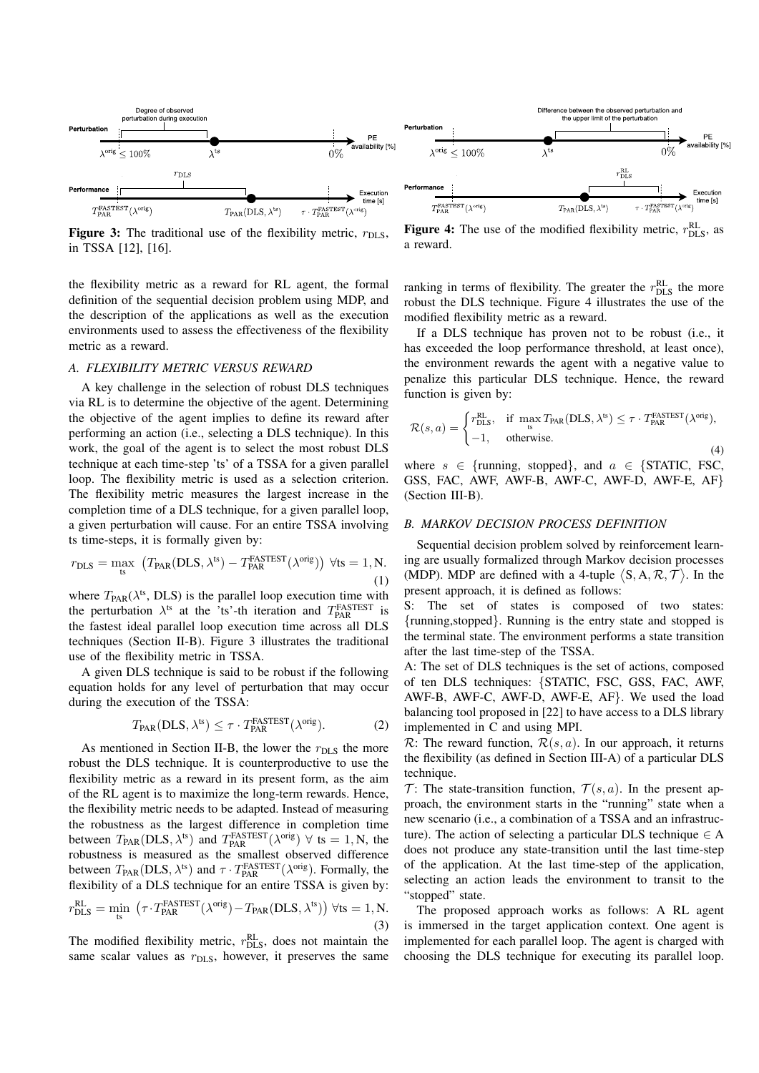

**Figure 3:** The traditional use of the flexibility metric,  $r_{\text{DI}}$  s, **Figure 4:** The use of the modified flexibility metric,  $r_{\text{DLS}}^{\text{RL}}$ , as a reward.

in TSSA [12], [16].

the flexibility metric as a reward for RL agent, the formal definition of the sequential decision problem using MDP, and the description of the applications as well as the execution environments used to assess the effectiveness of the flexibility metric as a reward.

# *A. FLEXIBILITY METRIC VERSUS REWARD*

A key challenge in the selection of robust DLS techniques via RL is to determine the objective of the agent. Determining the objective of the agent implies to define its reward after performing an action (i.e., selecting a DLS technique). In this work, the goal of the agent is to select the most robust DLS technique at each time-step 'ts' of a TSSA for a given parallel loop. The flexibility metric is used as a selection criterion. The flexibility metric measures the largest increase in the completion time of a DLS technique, for a given parallel loop, a given perturbation will cause. For an entire TSSA involving ts time-steps, it is formally given by:

$$
r_{\text{DLS}} = \max_{\text{ts}} \left( T_{\text{PAR}}(\text{DLS}, \lambda^{\text{ts}}) - T_{\text{PAR}}^{\text{FASTEST}}(\lambda^{\text{orig}}) \right) \,\forall \text{ts} = 1, \text{N}. \tag{1}
$$

where  $T_{\text{PAR}}(\lambda^{\text{ts}}, \text{DLS})$  is the parallel loop execution time with the perturbation  $\lambda^{ts}$  at the 'ts'-th iteration and  $T_{\text{PAR}}^{\text{FASTEST}}$  is the fastest ideal parallel loop execution time across all DLS techniques (Section II-B). Figure 3 illustrates the traditional use of the flexibility metric in TSSA.

A given DLS technique is said to be robust if the following equation holds for any level of perturbation that may occur during the execution of the TSSA:

$$
T_{\text{PAR}}(\text{DLS}, \lambda^{\text{ts}}) \le \tau \cdot T_{\text{PAR}}^{\text{FASTEST}}(\lambda^{\text{orig}}). \tag{2}
$$

As mentioned in Section II-B, the lower the  $r_{\text{DLS}}$  the more robust the DLS technique. It is counterproductive to use the flexibility metric as a reward in its present form, as the aim of the RL agent is to maximize the long-term rewards. Hence, the flexibility metric needs to be adapted. Instead of measuring the robustness as the largest difference in completion time between  $T_{\text{PAR}}(\text{DLS}, \lambda^{\text{ts}})$  and  $T_{\text{PAR}}^{\text{FASTEST}}(\lambda^{\text{orig}})$   $\forall$  ts = 1, N, the robustness is measured as the smallest observed difference between  $T_{\text{PAR}}(\text{DLS}, \lambda^{\text{ts}})$  and  $\tau \cdot T_{\text{PAR}}^{\text{FASTC}(\lambda^{\text{orig}})$ . Formally, the flexibility of a DLS technique for an entire TSSA is given by:  $r_{\text{DLS}}^{\text{RL}} = \min_{\text{ts}} \left( \tau \cdot T_{\text{PAR}}^{\text{FASTEST}}(\lambda^{\text{orig}}) - T_{\text{PAR}}(\text{DLS}, \lambda^{\text{ts}}) \right) \forall \text{ts} = 1, \text{N}.$ (3)

The modified flexibility metric,  $r_{\text{DLS}}^{\text{RL}}$ , does not maintain the same scalar values as  $r_{\text{DLS}}$ , however, it preserves the same

ranking in terms of flexibility. The greater the  $r_{\text{DLS}}^{\text{RL}}$  the more robust the DLS technique. Figure 4 illustrates the use of the modified flexibility metric as a reward.

If a DLS technique has proven not to be robust (i.e., it has exceeded the loop performance threshold, at least once), the environment rewards the agent with a negative value to penalize this particular DLS technique. Hence, the reward function is given by:

$$
\mathcal{R}(s, a) = \begin{cases} r_{\text{DLS}}^{\text{RL}}, & \text{if } \max_{\text{ts}} T_{\text{PAR}}(\text{DLS}, \lambda^{\text{ts}}) \le \tau \cdot T_{\text{PAR}}^{\text{FASTEST}}(\lambda^{\text{orig}}), \\ -1, & \text{otherwise.} \end{cases} \tag{4}
$$

where  $s \in \{\text{running}, \text{ stopped}\}, \text{ and } a \in \{\text{STATIC}, \text{FSC},\}$ GSS, FAC, AWF, AWF-B, AWF-C, AWF-D, AWF-E, AF} (Section III-B).

#### *B. MARKOV DECISION PROCESS DEFINITION*

Sequential decision problem solved by reinforcement learning are usually formalized through Markov decision processes (MDP). MDP are defined with a 4-tuple  $\langle S, A, R, T \rangle$ . In the present approach, it is defined as follows:

S: The set of states is composed of two states: {running,stopped}. Running is the entry state and stopped is the terminal state. The environment performs a state transition after the last time-step of the TSSA.

A: The set of DLS techniques is the set of actions, composed of ten DLS techniques: {STATIC, FSC, GSS, FAC, AWF, AWF-B, AWF-C, AWF-D, AWF-E, AF}. We used the load balancing tool proposed in [22] to have access to a DLS library implemented in C and using MPI.

 $\mathcal{R}$ : The reward function,  $\mathcal{R}(s, a)$ . In our approach, it returns the flexibility (as defined in Section III-A) of a particular DLS technique.

 $\mathcal{T}$ : The state-transition function,  $\mathcal{T}(s, a)$ . In the present approach, the environment starts in the "running" state when a new scenario (i.e., a combination of a TSSA and an infrastructure). The action of selecting a particular DLS technique  $\in$  A does not produce any state-transition until the last time-step of the application. At the last time-step of the application, selecting an action leads the environment to transit to the "stopped" state.

The proposed approach works as follows: A RL agent is immersed in the target application context. One agent is implemented for each parallel loop. The agent is charged with choosing the DLS technique for executing its parallel loop.

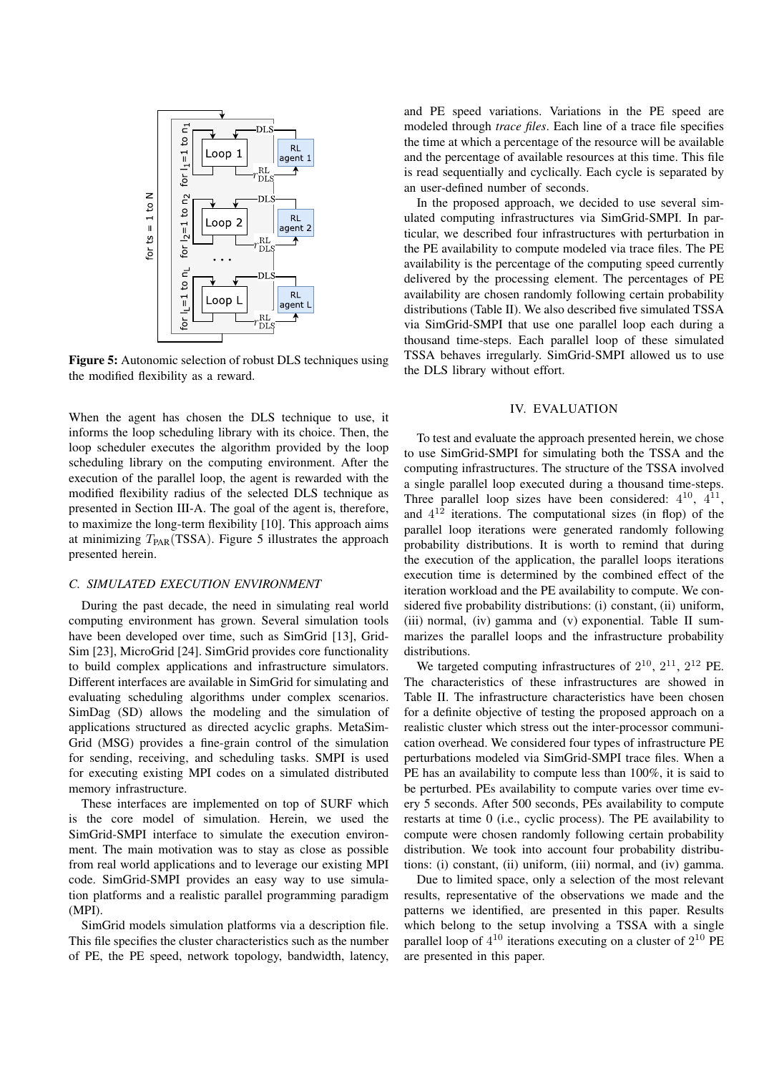

Figure 5: Autonomic selection of robust DLS techniques using the modified flexibility as a reward.

When the agent has chosen the DLS technique to use, it informs the loop scheduling library with its choice. Then, the loop scheduler executes the algorithm provided by the loop scheduling library on the computing environment. After the execution of the parallel loop, the agent is rewarded with the modified flexibility radius of the selected DLS technique as presented in Section III-A. The goal of the agent is, therefore, to maximize the long-term flexibility [10]. This approach aims at minimizing  $T_{PAR}(TSSA)$ . Figure 5 illustrates the approach presented herein.

## *C. SIMULATED EXECUTION ENVIRONMENT*

During the past decade, the need in simulating real world computing environment has grown. Several simulation tools have been developed over time, such as SimGrid [13], Grid-Sim [23], MicroGrid [24]. SimGrid provides core functionality to build complex applications and infrastructure simulators. Different interfaces are available in SimGrid for simulating and evaluating scheduling algorithms under complex scenarios. SimDag (SD) allows the modeling and the simulation of applications structured as directed acyclic graphs. MetaSim-Grid (MSG) provides a fine-grain control of the simulation for sending, receiving, and scheduling tasks. SMPI is used for executing existing MPI codes on a simulated distributed memory infrastructure.

These interfaces are implemented on top of SURF which is the core model of simulation. Herein, we used the SimGrid-SMPI interface to simulate the execution environment. The main motivation was to stay as close as possible from real world applications and to leverage our existing MPI code. SimGrid-SMPI provides an easy way to use simulation platforms and a realistic parallel programming paradigm (MPI).

SimGrid models simulation platforms via a description file. This file specifies the cluster characteristics such as the number of PE, the PE speed, network topology, bandwidth, latency, and PE speed variations. Variations in the PE speed are modeled through *trace files*. Each line of a trace file specifies the time at which a percentage of the resource will be available and the percentage of available resources at this time. This file is read sequentially and cyclically. Each cycle is separated by an user-defined number of seconds.

In the proposed approach, we decided to use several simulated computing infrastructures via SimGrid-SMPI. In particular, we described four infrastructures with perturbation in the PE availability to compute modeled via trace files. The PE availability is the percentage of the computing speed currently delivered by the processing element. The percentages of PE availability are chosen randomly following certain probability distributions (Table II). We also described five simulated TSSA via SimGrid-SMPI that use one parallel loop each during a thousand time-steps. Each parallel loop of these simulated TSSA behaves irregularly. SimGrid-SMPI allowed us to use the DLS library without effort.

#### IV. EVALUATION

To test and evaluate the approach presented herein, we chose to use SimGrid-SMPI for simulating both the TSSA and the computing infrastructures. The structure of the TSSA involved a single parallel loop executed during a thousand time-steps. Three parallel loop sizes have been considered:  $4^{10}$ ,  $4^{11}$ , and  $4^{12}$  iterations. The computational sizes (in flop) of the parallel loop iterations were generated randomly following probability distributions. It is worth to remind that during the execution of the application, the parallel loops iterations execution time is determined by the combined effect of the iteration workload and the PE availability to compute. We considered five probability distributions: (i) constant, (ii) uniform, (iii) normal, (iv) gamma and (v) exponential. Table II summarizes the parallel loops and the infrastructure probability distributions.

We targeted computing infrastructures of  $2^{10}$ ,  $2^{11}$ ,  $2^{12}$  PE. The characteristics of these infrastructures are showed in Table II. The infrastructure characteristics have been chosen for a definite objective of testing the proposed approach on a realistic cluster which stress out the inter-processor communication overhead. We considered four types of infrastructure PE perturbations modeled via SimGrid-SMPI trace files. When a PE has an availability to compute less than 100%, it is said to be perturbed. PEs availability to compute varies over time every 5 seconds. After 500 seconds, PEs availability to compute restarts at time 0 (i.e., cyclic process). The PE availability to compute were chosen randomly following certain probability distribution. We took into account four probability distributions: (i) constant, (ii) uniform, (iii) normal, and (iv) gamma.

Due to limited space, only a selection of the most relevant results, representative of the observations we made and the patterns we identified, are presented in this paper. Results which belong to the setup involving a TSSA with a single parallel loop of  $4^{10}$  iterations executing on a cluster of  $2^{10}$  PE are presented in this paper.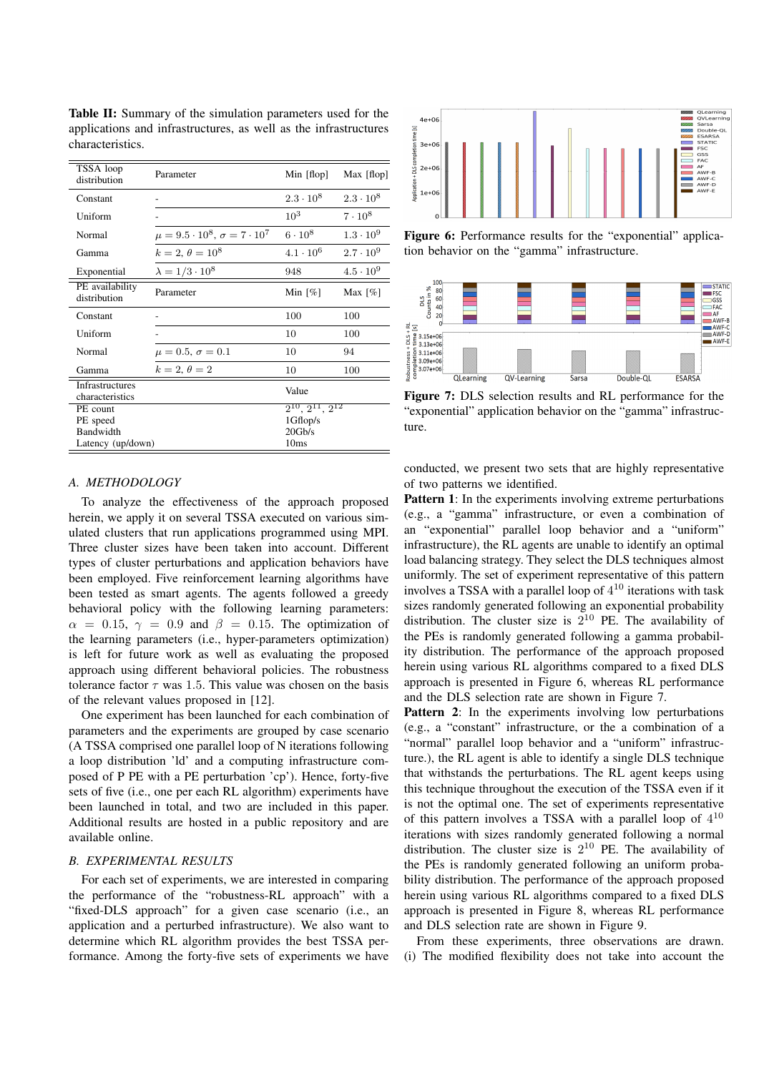TSSA loop Parameter Min [flop] Max [flop] Max [flop] Constant -  $2.3 \cdot 10^8$   $2.3 \cdot 10^8$ Uniform  $10^3$   $7 \cdot 10^8$ Normal  $\mu = 9.5 \cdot 10^8$ ,  $\sigma = 7 \cdot 10^7$   $6 \cdot 10^8$   $1.3 \cdot 10^9$ Gamma  $k = 2, \theta = 10^8$   $4.1 \cdot 10^6$   $2.7 \cdot 10^9$ Exponential  $\lambda = 1/3 \cdot 10^8$  948 4.5 · 10<sup>9</sup> PE availability distribution Parameter Min [%] Max [%] Constant - 100 100 Uniform - 10 100 Normal  $\mu = 0.5, \sigma = 0.1$  10 94 Gamma  $k = 2, \theta = 2$  10 100 Infrastructures characteristics Value PE count  $10, 211, 212$ PE speed 1Gflop/s<br>Bandwidth 20Gb/s Bandwidth 20Gb<br>Latency (up/down) 10ms Latency (up/down)

Table II: Summary of the simulation parameters used for the applications and infrastructures, as well as the infrastructures characteristics.

#### *A. METHODOLOGY*

To analyze the effectiveness of the approach proposed herein, we apply it on several TSSA executed on various simulated clusters that run applications programmed using MPI. Three cluster sizes have been taken into account. Different types of cluster perturbations and application behaviors have been employed. Five reinforcement learning algorithms have been tested as smart agents. The agents followed a greedy behavioral policy with the following learning parameters:  $\alpha = 0.15$ ,  $\gamma = 0.9$  and  $\beta = 0.15$ . The optimization of the learning parameters (i.e., hyper-parameters optimization) is left for future work as well as evaluating the proposed approach using different behavioral policies. The robustness tolerance factor  $\tau$  was 1.5. This value was chosen on the basis of the relevant values proposed in [12].

One experiment has been launched for each combination of parameters and the experiments are grouped by case scenario (A TSSA comprised one parallel loop of N iterations following a loop distribution 'ld' and a computing infrastructure composed of P PE with a PE perturbation 'cp'). Hence, forty-five sets of five (i.e., one per each RL algorithm) experiments have been launched in total, and two are included in this paper. Additional results are hosted in a public repository and are available online.

## *B. EXPERIMENTAL RESULTS*

For each set of experiments, we are interested in comparing the performance of the "robustness-RL approach" with a "fixed-DLS approach" for a given case scenario (i.e., an application and a perturbed infrastructure). We also want to determine which RL algorithm provides the best TSSA performance. Among the forty-five sets of experiments we have



Figure 6: Performance results for the "exponential" application behavior on the "gamma" infrastructure.



Figure 7: DLS selection results and RL performance for the "exponential" application behavior on the "gamma" infrastructure.

conducted, we present two sets that are highly representative of two patterns we identified.

Pattern 1: In the experiments involving extreme perturbations (e.g., a "gamma" infrastructure, or even a combination of an "exponential" parallel loop behavior and a "uniform" infrastructure), the RL agents are unable to identify an optimal load balancing strategy. They select the DLS techniques almost uniformly. The set of experiment representative of this pattern involves a TSSA with a parallel loop of  $4^{10}$  iterations with task sizes randomly generated following an exponential probability distribution. The cluster size is  $2^{10}$  PE. The availability of the PEs is randomly generated following a gamma probability distribution. The performance of the approach proposed herein using various RL algorithms compared to a fixed DLS approach is presented in Figure 6, whereas RL performance and the DLS selection rate are shown in Figure 7.

Pattern 2: In the experiments involving low perturbations (e.g., a "constant" infrastructure, or the a combination of a "normal" parallel loop behavior and a "uniform" infrastructure.), the RL agent is able to identify a single DLS technique that withstands the perturbations. The RL agent keeps using this technique throughout the execution of the TSSA even if it is not the optimal one. The set of experiments representative of this pattern involves a TSSA with a parallel loop of  $4^{10}$ iterations with sizes randomly generated following a normal distribution. The cluster size is  $2^{10}$  PE. The availability of the PEs is randomly generated following an uniform probability distribution. The performance of the approach proposed herein using various RL algorithms compared to a fixed DLS approach is presented in Figure 8, whereas RL performance and DLS selection rate are shown in Figure 9.

From these experiments, three observations are drawn. (i) The modified flexibility does not take into account the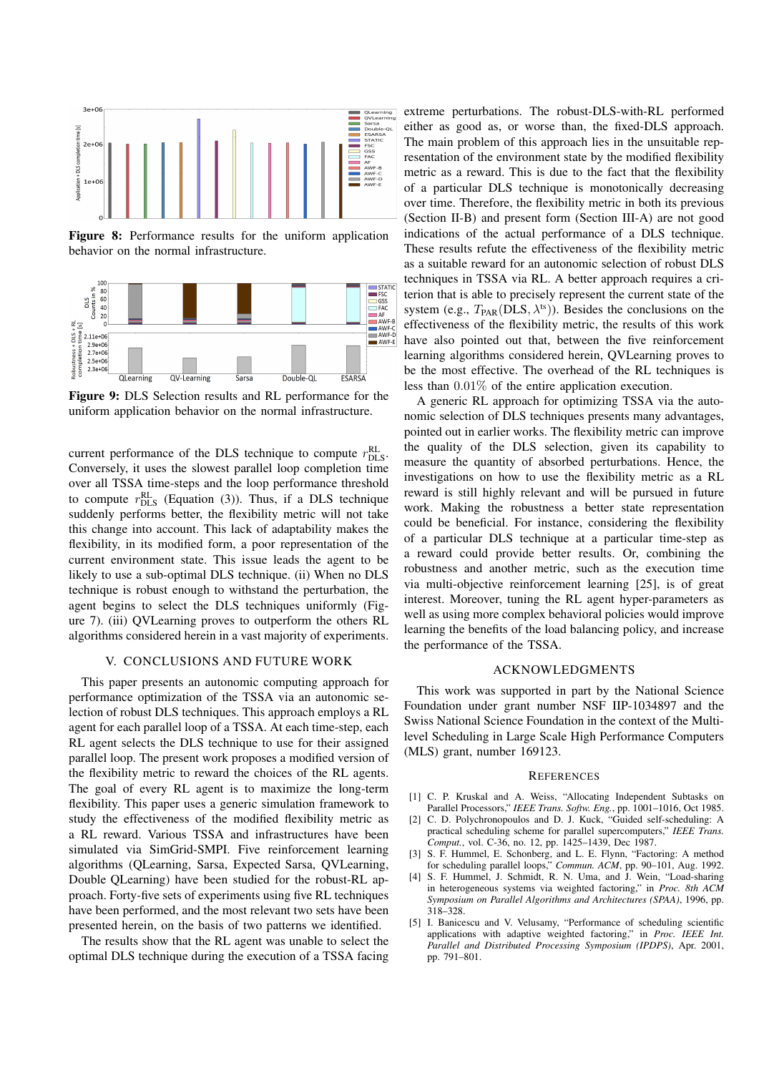

Figure 8: Performance results for the uniform application behavior on the normal infrastructure.



Figure 9: DLS Selection results and RL performance for the uniform application behavior on the normal infrastructure.

current performance of the DLS technique to compute  $r_{\text{DLS}}^{\text{RL}}$ . Conversely, it uses the slowest parallel loop completion time over all TSSA time-steps and the loop performance threshold to compute  $r_{\text{DLS}}^{\text{RL}}$  (Equation (3)). Thus, if a DLS technique suddenly performs better, the flexibility metric will not take this change into account. This lack of adaptability makes the flexibility, in its modified form, a poor representation of the current environment state. This issue leads the agent to be likely to use a sub-optimal DLS technique. (ii) When no DLS technique is robust enough to withstand the perturbation, the agent begins to select the DLS techniques uniformly (Figure 7). (iii) QVLearning proves to outperform the others RL algorithms considered herein in a vast majority of experiments.

#### V. CONCLUSIONS AND FUTURE WORK

This paper presents an autonomic computing approach for performance optimization of the TSSA via an autonomic selection of robust DLS techniques. This approach employs a RL agent for each parallel loop of a TSSA. At each time-step, each RL agent selects the DLS technique to use for their assigned parallel loop. The present work proposes a modified version of the flexibility metric to reward the choices of the RL agents. The goal of every RL agent is to maximize the long-term flexibility. This paper uses a generic simulation framework to study the effectiveness of the modified flexibility metric as a RL reward. Various TSSA and infrastructures have been simulated via SimGrid-SMPI. Five reinforcement learning algorithms (QLearning, Sarsa, Expected Sarsa, QVLearning, Double QLearning) have been studied for the robust-RL approach. Forty-five sets of experiments using five RL techniques have been performed, and the most relevant two sets have been presented herein, on the basis of two patterns we identified.

The results show that the RL agent was unable to select the optimal DLS technique during the execution of a TSSA facing

extreme perturbations. The robust-DLS-with-RL performed either as good as, or worse than, the fixed-DLS approach. The main problem of this approach lies in the unsuitable representation of the environment state by the modified flexibility metric as a reward. This is due to the fact that the flexibility of a particular DLS technique is monotonically decreasing over time. Therefore, the flexibility metric in both its previous (Section II-B) and present form (Section III-A) are not good indications of the actual performance of a DLS technique. These results refute the effectiveness of the flexibility metric as a suitable reward for an autonomic selection of robust DLS techniques in TSSA via RL. A better approach requires a criterion that is able to precisely represent the current state of the system (e.g.,  $T_{PAR}(DLS, \lambda^{ts})$ ). Besides the conclusions on the effectiveness of the flexibility metric, the results of this work have also pointed out that, between the five reinforcement learning algorithms considered herein, QVLearning proves to be the most effective. The overhead of the RL techniques is less than 0.01% of the entire application execution.

A generic RL approach for optimizing TSSA via the autonomic selection of DLS techniques presents many advantages, pointed out in earlier works. The flexibility metric can improve the quality of the DLS selection, given its capability to measure the quantity of absorbed perturbations. Hence, the investigations on how to use the flexibility metric as a RL reward is still highly relevant and will be pursued in future work. Making the robustness a better state representation could be beneficial. For instance, considering the flexibility of a particular DLS technique at a particular time-step as a reward could provide better results. Or, combining the robustness and another metric, such as the execution time via multi-objective reinforcement learning [25], is of great interest. Moreover, tuning the RL agent hyper-parameters as well as using more complex behavioral policies would improve learning the benefits of the load balancing policy, and increase the performance of the TSSA.

#### ACKNOWLEDGMENTS

This work was supported in part by the National Science Foundation under grant number NSF IIP-1034897 and the Swiss National Science Foundation in the context of the Multilevel Scheduling in Large Scale High Performance Computers (MLS) grant, number 169123.

#### **REFERENCES**

- [1] C. P. Kruskal and A. Weiss, "Allocating Independent Subtasks on Parallel Processors," *IEEE Trans. Softw. Eng.*, pp. 1001–1016, Oct 1985.
- [2] C. D. Polychronopoulos and D. J. Kuck, "Guided self-scheduling: A practical scheduling scheme for parallel supercomputers," *IEEE Trans. Comput.*, vol. C-36, no. 12, pp. 1425–1439, Dec 1987.
- [3] S. F. Hummel, E. Schonberg, and L. E. Flynn, "Factoring: A method for scheduling parallel loops," *Commun. ACM*, pp. 90–101, Aug. 1992.
- [4] S. F. Hummel, J. Schmidt, R. N. Uma, and J. Wein, "Load-sharing in heterogeneous systems via weighted factoring," in *Proc. 8th ACM Symposium on Parallel Algorithms and Architectures (SPAA)*, 1996, pp. 318–328.
- [5] I. Banicescu and V. Velusamy, "Performance of scheduling scientific applications with adaptive weighted factoring," in *Proc. IEEE Int. Parallel and Distributed Processing Symposium (IPDPS)*, Apr. 2001, pp. 791–801.